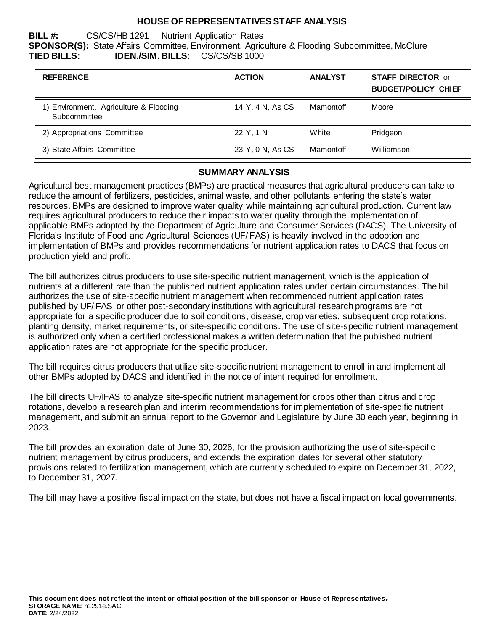#### **HOUSE OF REPRESENTATIVES STAFF ANALYSIS**

**BILL #:** CS/CS/HB 1291 Nutrient Application Rates **SPONSOR(S):** State Affairs Committee, Environment, Agriculture & Flooding Subcommittee, McClure **TIED BILLS: IDEN./SIM. BILLS:** CS/CS/SB 1000

| <b>REFERENCE</b>                                       | <b>ACTION</b>    | <b>ANALYST</b> | <b>STAFF DIRECTOR or</b><br><b>BUDGET/POLICY CHIEF</b> |
|--------------------------------------------------------|------------------|----------------|--------------------------------------------------------|
| 1) Environment, Agriculture & Flooding<br>Subcommittee | 14 Y, 4 N, As CS | Mamontoff      | Moore                                                  |
| 2) Appropriations Committee                            | 22 Y, 1 N        | White          | Pridgeon                                               |
| 3) State Affairs Committee                             | 23 Y, 0 N, As CS | Mamontoff      | Williamson                                             |

#### **SUMMARY ANALYSIS**

Agricultural best management practices (BMPs) are practical measures that agricultural producers can take to reduce the amount of fertilizers, pesticides, animal waste, and other pollutants entering the state's water resources. BMPs are designed to improve water quality while maintaining agricultural production. Current law requires agricultural producers to reduce their impacts to water quality through the implementation of applicable BMPs adopted by the Department of Agriculture and Consumer Services (DACS). The University of Florida's Institute of Food and Agricultural Sciences (UF/IFAS) is heavily involved in the adoption and implementation of BMPs and provides recommendations for nutrient application rates to DACS that focus on production yield and profit.

The bill authorizes citrus producers to use site-specific nutrient management, which is the application of nutrients at a different rate than the published nutrient application rates under certain circumstances. The bill authorizes the use of site-specific nutrient management when recommended nutrient application rates published by UF/IFAS or other post-secondary institutions with agricultural research programs are not appropriate for a specific producer due to soil conditions, disease, crop varieties, subsequent crop rotations, planting density, market requirements, or site-specific conditions. The use of site-specific nutrient management is authorized only when a certified professional makes a written determination that the published nutrient application rates are not appropriate for the specific producer.

The bill requires citrus producers that utilize site-specific nutrient management to enroll in and implement all other BMPs adopted by DACS and identified in the notice of intent required for enrollment.

The bill directs UF/IFAS to analyze site-specific nutrient management for crops other than citrus and crop rotations, develop a research plan and interim recommendations for implementation of site-specific nutrient management, and submit an annual report to the Governor and Legislature by June 30 each year, beginning in 2023.

The bill provides an expiration date of June 30, 2026, for the provision authorizing the use of site-specific nutrient management by citrus producers, and extends the expiration dates for several other statutory provisions related to fertilization management, which are currently scheduled to expire on December 31, 2022, to December 31, 2027.

The bill may have a positive fiscal impact on the state, but does not have a fiscal impact on local governments.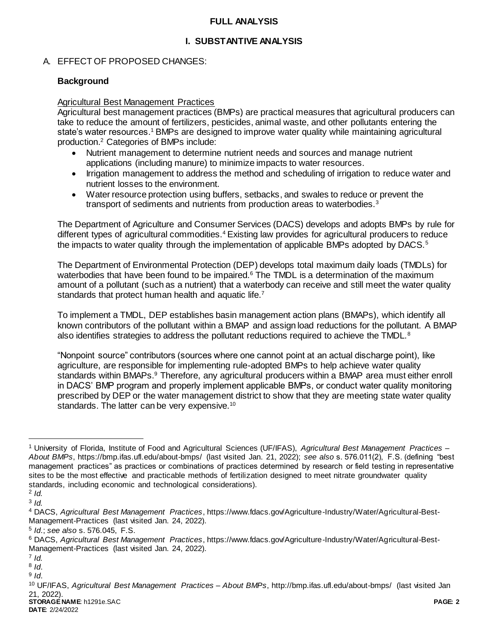### **FULL ANALYSIS**

# **I. SUBSTANTIVE ANALYSIS**

# A. EFFECT OF PROPOSED CHANGES:

## **Background**

### Agricultural Best Management Practices

Agricultural best management practices (BMPs) are practical measures that agricultural producers can take to reduce the amount of fertilizers, pesticides, animal waste, and other pollutants entering the state's water resources.<sup>1</sup> BMPs are designed to improve water quality while maintaining agricultural production.<sup>2</sup> Categories of BMPs include:

- Nutrient management to determine nutrient needs and sources and manage nutrient applications (including manure) to minimize impacts to water resources.
- Irrigation management to address the method and scheduling of irrigation to reduce water and nutrient losses to the environment.
- Water resource protection using buffers, setbacks, and swales to reduce or prevent the transport of sediments and nutrients from production areas to waterbodies.<sup>3</sup>

The Department of Agriculture and Consumer Services (DACS) develops and adopts BMPs by rule for different types of agricultural commodities.<sup>4</sup> Existing law provides for agricultural producers to reduce the impacts to water quality through the implementation of applicable BMPs adopted by DACS.<sup>5</sup>

The Department of Environmental Protection (DEP) develops total maximum daily loads (TMDLs) for waterbodies that have been found to be impaired.<sup>6</sup> The TMDL is a determination of the maximum amount of a pollutant (such as a nutrient) that a waterbody can receive and still meet the water quality standards that protect human health and aquatic life.<sup>7</sup>

To implement a TMDL, DEP establishes basin management action plans (BMAPs), which identify all known contributors of the pollutant within a BMAP and assign load reductions for the pollutant. A BMAP also identifies strategies to address the pollutant reductions required to achieve the TMDL.<sup>8</sup>

"Nonpoint source" contributors (sources where one cannot point at an actual discharge point), like agriculture, are responsible for implementing rule-adopted BMPs to help achieve water quality standards within BMAPs.<sup>9</sup> Therefore, any agricultural producers within a BMAP area must either enroll in DACS' BMP program and properly implement applicable BMPs, or conduct water quality monitoring prescribed by DEP or the water management district to show that they are meeting state water quality standards. The latter can be very expensive.<sup>10</sup>

<sup>1</sup> University of Florida, Institute of Food and Agricultural Sciences (UF/IFAS), *Agricultural Best Management Practices – About BMPs*, https://bmp.ifas.ufl.edu/about-bmps/ (last visited Jan. 21, 2022); *see also* s. 576.011(2), F.S. (defining "best management practices" as practices or combinations of practices determined by research or field testing in representative sites to be the most effective and practicable methods of fertilization designed to meet nitrate groundwater quality standards, including economic and technological considerations).

<sup>2</sup> *Id.*

<sup>3</sup> *Id.*

<sup>4</sup> DACS, *Agricultural Best Management Practices*, https://www.fdacs.gov/Agriculture-Industry/Water/Agricultural-Best-Management-Practices (last visited Jan. 24, 2022).

<sup>5</sup> *Id*.; *see also* s. 576.045, F.S.

<sup>6</sup> DACS, *Agricultural Best Management Practices*, https://www.fdacs.gov/Agriculture-Industry/Water/Agricultural-Best-Management-Practices (last visited Jan. 24, 2022).

<sup>7</sup> *Id.*

<sup>8</sup> *Id*.

<sup>9</sup> *Id*.

**STORAGE NAME**: h1291e.SAC **PAGE: 2** <sup>10</sup> UF/IFAS, *Agricultural Best Management Practices – About BMPs*, http://bmp.ifas.ufl.edu/about-bmps/ (last visited Jan 21, 2022).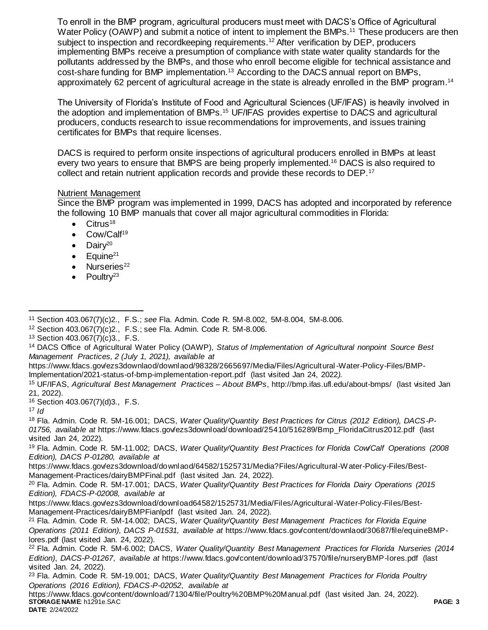To enroll in the BMP program, agricultural producers must meet with DACS's Office of Agricultural Water Policy (OAWP) and submit a notice of intent to implement the BMPs.<sup>11</sup> These producers are then subject to inspection and recordkeeping requirements.<sup>12</sup> After verification by DEP, producers implementing BMPs receive a presumption of compliance with state water quality standards for the pollutants addressed by the BMPs, and those who enroll become eligible for technical assistance and cost-share funding for BMP implementation.<sup>13</sup> According to the DACS annual report on BMPs, approximately 62 percent of agricultural acreage in the state is already enrolled in the BMP program.<sup>14</sup>

The University of Florida's Institute of Food and Agricultural Sciences (UF/IFAS) is heavily involved in the adoption and implementation of BMPs.<sup>15</sup> UF/IFAS provides expertise to DACS and agricultural producers, conducts research to issue recommendations for improvements, and issues training certificates for BMPs that require licenses.

DACS is required to perform onsite inspections of agricultural producers enrolled in BMPs at least every two years to ensure that BMPS are being properly implemented.<sup>16</sup> DACS is also required to collect and retain nutrient application records and provide these records to DEP.<sup>17</sup>

### Nutrient Management

Since the BMP program was implemented in 1999, DACS has adopted and incorporated by reference the following 10 BMP manuals that cover all major agricultural commodities in Florida:

- $\bullet$  Citrus<sup>18</sup>
- Cow/Calf<sup>19</sup>
- $\bullet$  Dairy<sup>20</sup>
- Equine<sup>21</sup>
- Nurseries<sup>22</sup>
- $\bullet$  Poultry<sup>23</sup>

<sup>16</sup> Section 403.067(7)(d)3., F.S.

<sup>17</sup> *Id*

<sup>18</sup> Fla. Admin. Code R. 5M-16.001; DACS, *Water Quality/Quantity Best Practices for Citrus (2012 Edition), DACS-P-01756, available at* https://www.fdacs.gov/ezs3download/download/25410/516289/Bmp\_FloridaCitrus2012.pdf (last visited Jan 24, 2022).

<sup>19</sup> Fla. Admin. Code R. 5M-11.002; DACS, *Water Quality/Quantity Best Practices for Florida Cow/Calf Operations (2008 Edition), DACS P-01280, available at*

https://www.fdacs.gov/ezs3download/downlaod/64582/1525731/Media?Files/Agricultural-Water-Policy-Files/Best-Management-Practices/dairyBMPFinal.pdf (last visited Jan. 24, 2022).

<sup>20</sup> Fla. Admin. Code R. 5M-17.001; DACS, *Water Quality/Quantity Best Practices for Florida Dairy Operations (2015 Edition), FDACS-P-02008, available at*

https://www.fdacs.gov/ezs3download/download64582/1525731/Media/Files/Agricultural-Water-Policy-Files/Best-Management-Practices/dairyBMPFianlpdf (last visited Jan. 24, 2022).

<sup>21</sup> Fla. Admin. Code R. 5M-14.002; DACS, *Water Quality/Quantity Best Management Practices for Florida Equine Operations (2011 Edition), DACS P-01531, available at* https://www.fdacs.gov/content/downlaod/30687/file/equineBMPlores.pdf (last visited Jan. 24, 2022).

<sup>23</sup> Fla. Admin. Code R. 5M-19.001; DACS, *Water Quality/Quantity Best Management Practices for Florida Poultry Operations (2016 Edition), FDACS-P-02052*, *available at*

**STORAGE NAME**: h1291e.SAC **PAGE: 3** https://www.fdacs.gov/content/download/71304/file/Poultry%20BMP%20Manual.pdf (last visited Jan. 24, 2022).

 $\overline{a}$ <sup>11</sup> Section 403.067(7)(c)2., F.S.; *see* Fla. Admin. Code R. 5M-8.002, 5M-8.004, 5M-8.006.

<sup>12</sup> Section 403.067(7)(c)2., F.S.; see Fla. Admin. Code R. 5M-8.006.

<sup>13</sup> Section 403.067(7)(c)3., F.S.

<sup>14</sup> DACS Office of Agricultural Water Policy (OAWP), *Status of Implementation of Agricultural nonpoint Source Best Management Practices, 2 (July 1, 2021), available at*

https://www.fdacs.gov/ezs3downlaod/downlaod/98328/2665697/Media/Files/Agricultural-Water-Policy-Files/BMP-Implementation/2021-status-of-bmp-implementation-report.pdf (last visited Jan 24, 2022*).* 

<sup>15</sup> UF/IFAS, *Agricultural Best Management Practices – About BMPs*, http://bmp.ifas.ufl.edu/about-bmps/ (last visited Jan 21, 2022).

<sup>22</sup> Fla. Admin. Code R. 5M-6.002; DACS, *Water Quality/Quantity Best Management Practices for Florida Nurseries (2014 Edition)*, *DACS-P-01267*, *available at* https://www.fdacs.gov/content/download/37570/file/nurseryBMP-lores.pdf (last visited Jan. 24, 2022).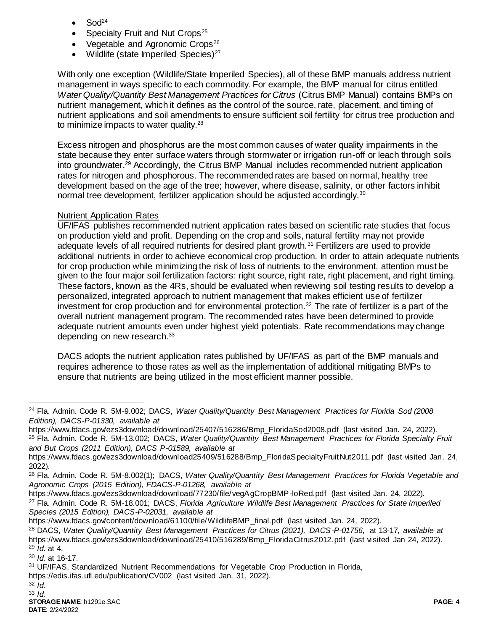- Sod<sup>24</sup>
- Specialty Fruit and Nut Crops<sup>25</sup>
- Vegetable and Agronomic Crops<sup>26</sup>
- Wildlife (state Imperiled Species)<sup>27</sup>

With only one exception (Wildlife/State Imperiled Species), all of these BMP manuals address nutrient management in ways specific to each commodity. For example, the BMP manual for citrus entitled *Water Quality/Quantity Best Management Practices for Citrus* (Citrus BMP Manual) contains BMPs on nutrient management, which it defines as the control of the source, rate, placement, and timing of nutrient applications and soil amendments to ensure sufficient soil fertility for citrus tree production and to minimize impacts to water quality.<sup>28</sup>

Excess nitrogen and phosphorus are the most common causes of water quality impairments in the state because they enter surface waters through stormwater or irrigation run-off or leach through soils into groundwater.<sup>29</sup> Accordingly, the Citrus BMP Manual includes recommended nutrient application rates for nitrogen and phosphorous. The recommended rates are based on normal, healthy tree development based on the age of the tree; however, where disease, salinity, or other factors inhibit normal tree development, fertilizer application should be adjusted accordingly.<sup>30</sup>

## Nutrient Application Rates

UF/IFAS publishes recommended nutrient application rates based on scientific rate studies that focus on production yield and profit. Depending on the crop and soils, natural fertility may not provide adequate levels of all required nutrients for desired plant growth.<sup>31</sup> Fertilizers are used to provide additional nutrients in order to achieve economical crop production. In order to attain adequate nutrients for crop production while minimizing the risk of loss of nutrients to the environment, attention must be given to the four major soil fertilization factors: right source, right rate, right placement, and right timing. These factors, known as the 4Rs, should be evaluated when reviewing soil testing results to develop a personalized, integrated approach to nutrient management that makes efficient use of fertilizer investment for crop production and for environmental protection.<sup>32</sup> The rate of fertilizer is a part of the overall nutrient management program. The recommended rates have been determined to provide adequate nutrient amounts even under highest yield potentials. Rate recommendations may change depending on new research.<sup>33</sup>

DACS adopts the nutrient application rates published by UF/IFAS as part of the BMP manuals and requires adherence to those rates as well as the implementation of additional mitigating BMPs to ensure that nutrients are being utilized in the most efficient manner possible.

<sup>30</sup> *Id*. at 16-17.

https://edis.ifas.ufl.edu/publication/CV002 (last visited Jan. 31, 2022).

<sup>24</sup> Fla. Admin. Code R. 5M-9.002; DACS, *Water Quality/Quantity Best Management Practices for Florida Sod (2008 Edition), DACS-P-01330, available at*

https://www.fdacs.gov/ezs3download/download/25407/516286/Bmp\_FloridaSod2008.pdf (last visited Jan. 24, 2022).

<sup>25</sup> Fla. Admin. Code R. 5M-13.002; DACS, *Water Quality/Quantity Best Management Practices for Florida Specialty Fruit and But Crops (2011 Edition), DACS P-01589, available at*

https://www.fdacs.gov/ezs3download/download25409/516288/Bmp\_FloridaSpecialtyFruitNut2011.pdf (last visited Jan. 24, 2022).

<sup>26</sup> Fla. Admin. Code R. 5M-8.002(1); DACS, *Water Quality/Quantity Best Management Practices for Florida Vegetable and Agronomic Crops (2015 Edition), FDACS-P-01268, available at*

https://www.fdacs.gov/ezs3download/download/77230/file/vegAgCropBMP-loRed.pdf (last visited Jan. 24, 2022).

<sup>27</sup> Fla. Admin. Code R. 5M-18.001; DACS, *Florida Agriculture Wildlife Best Management Practices for State Imperiled Species (2015 Edition), DACS-P-02031, available at*

https://www.fdacs.gov/content/download/61100/file/WildlifeBMP\_final.pdf (last visited Jan. 24, 2022).

<sup>28</sup> DACS, *Water Quality/Quantity Best Management Practices for Citrus (2021), DACS-P-01756*, at 13-17*, available at* https://www.fdacs.gov/ezs3download/download/25410/516289/Bmp\_FloridaCitrus2012.pdf (last visited Jan 24, 2022). <sup>29</sup> *Id.* at 4.

<sup>31</sup> UF/IFAS, Standardized Nutrient Recommendations for Vegetable Crop Production in Florida,

<sup>32</sup> *Id*.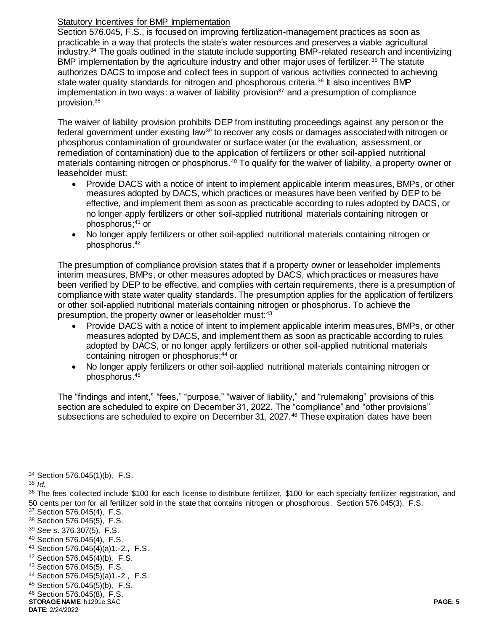### Statutory Incentives for BMP Implementation

Section 576.045, F.S., is focused on improving fertilization-management practices as soon as practicable in a way that protects the state's water resources and preserves a viable agricultural industry.<sup>34</sup> The goals outlined in the statute include supporting BMP-related research and incentivizing BMP implementation by the agriculture industry and other major uses of fertilizer.<sup>35</sup> The statute authorizes DACS to impose and collect fees in support of various activities connected to achieving state water quality standards for nitrogen and phosphorous criteria.<sup>36</sup> It also incentives BMP implementation in two ways: a waiver of liability provision<sup>37</sup> and a presumption of compliance provision.<sup>38</sup>

The waiver of liability provision prohibits DEP from instituting proceedings against any person or the federal government under existing law<sup>39</sup> to recover any costs or damages associated with nitrogen or phosphorus contamination of groundwater or surface water (or the evaluation, assessment, or remediation of contamination) due to the application of fertilizers or other soil-applied nutritional materials containing nitrogen or phosphorus.<sup>40</sup> To qualify for the waiver of liability, a property owner or leaseholder must:

- Provide DACS with a notice of intent to implement applicable interim measures, BMPs, or other measures adopted by DACS, which practices or measures have been verified by DEP to be effective, and implement them as soon as practicable according to rules adopted by DACS, or no longer apply fertilizers or other soil-applied nutritional materials containing nitrogen or phosphorus; <sup>41</sup> or
- No longer apply fertilizers or other soil-applied nutritional materials containing nitrogen or phosphorus.<sup>42</sup>

The presumption of compliance provision states that if a property owner or leaseholder implements interim measures, BMPs, or other measures adopted by DACS, which practices or measures have been verified by DEP to be effective, and complies with certain requirements, there is a presumption of compliance with state water quality standards. The presumption applies for the application of fertilizers or other soil-applied nutritional materials containing nitrogen or phosphorus. To achieve the presumption, the property owner or leaseholder must:<sup>43</sup>

- Provide DACS with a notice of intent to implement applicable interim measures, BMPs, or other measures adopted by DACS, and implement them as soon as practicable according to rules adopted by DACS, or no longer apply fertilizers or other soil-applied nutritional materials containing nitrogen or phosphorus;<sup>44</sup> or
- No longer apply fertilizers or other soil-applied nutritional materials containing nitrogen or phosphorus.<sup>45</sup>

The "findings and intent," "fees," "purpose," "waiver of liability," and "rulemaking" provisions of this section are scheduled to expire on December 31, 2022. The "compliance" and "other provisions" subsections are scheduled to expire on December 31, 2027.<sup>46</sup> These expiration dates have been

<sup>34</sup> Section 576.045(1)(b), F.S.

<sup>35</sup> *Id.* 

<sup>36</sup> The fees collected include \$100 for each license to distribute fertilizer, \$100 for each specialty fertilizer registration, and 50 cents per ton for all fertilizer sold in the state that contains nitrogen or phosphorous. Section 576.045(3), F.S.

<sup>37</sup> Section 576.045(4), F.S.

<sup>38</sup> Section 576.045(5), F.S.

<sup>39</sup> *See* s. 376.307(5), F.S.

<sup>40</sup> Section 576.045(4), F.S.

<sup>41</sup> Section 576.045(4)(a)1.-2., F.S.

<sup>42</sup> Section 576.045(4)(b), F.S.

<sup>43</sup> Section 576.045(5), F.S.

<sup>44</sup> Section 576.045(5)(a)1.-2., F.S.

<sup>45</sup> Section 576.045(5)(b), F.S.

<sup>46</sup> Section 576.045(8), F.S.

**STORAGE NAME**: h1291e.SAC **PAGE: 5 DATE**: 2/24/2022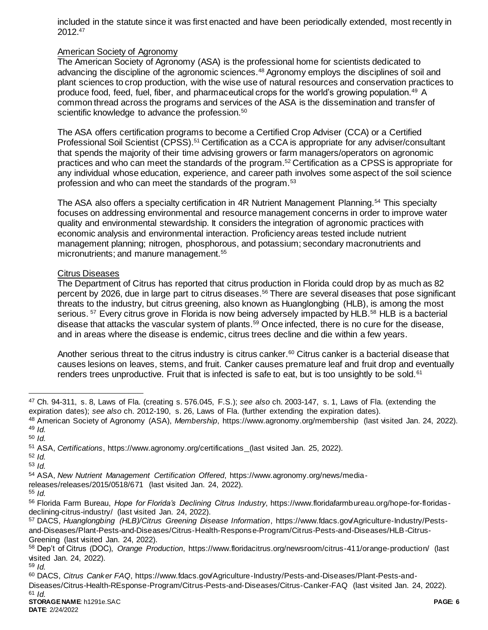included in the statute since it was first enacted and have been periodically extended, most recently in 2012.<sup>47</sup>

### American Society of Agronomy

The American Society of Agronomy (ASA) is the professional home for scientists dedicated to advancing the discipline of the agronomic sciences.<sup>48</sup> Agronomy employs the disciplines of soil and plant sciences to crop production, with the wise use of natural resources and conservation practices to produce food, feed, fuel, fiber, and pharmaceutical crops for the world's growing population.<sup>49</sup> A common thread across the programs and services of the ASA is the dissemination and transfer of scientific knowledge to advance the profession.<sup>50</sup>

The ASA offers certification programs to become a Certified Crop Adviser (CCA) or a Certified Professional Soil Scientist (CPSS).<sup>51</sup> Certification as a CCA is appropriate for any adviser/consultant that spends the majority of their time advising growers or farm managers/operators on agronomic practices and who can meet the standards of the program.<sup>52</sup> Certification as a CPSS is appropriate for any individual whose education, experience, and career path involves some aspect of the soil science profession and who can meet the standards of the program.<sup>53</sup>

The ASA also offers a specialty certification in 4R Nutrient Management Planning.<sup>54</sup> This specialty focuses on addressing environmental and resource management concerns in order to improve water quality and environmental stewardship. It considers the integration of agronomic practices with economic analysis and environmental interaction. Proficiency areas tested include nutrient management planning; nitrogen, phosphorous, and potassium; secondary macronutrients and micronutrients; and manure management.<sup>55</sup>

#### Citrus Diseases

The Department of Citrus has reported that citrus production in Florida could drop by as much as 82 percent by 2026, due in large part to citrus diseases.<sup>56</sup> There are several diseases that pose significant threats to the industry, but citrus greening, also known as Huanglongbing (HLB), is among the most serious. <sup>57</sup> Every citrus grove in Florida is now being adversely impacted by HLB.<sup>58</sup> HLB is a bacterial disease that attacks the vascular system of plants.<sup>59</sup> Once infected, there is no cure for the disease, and in areas where the disease is endemic, citrus trees decline and die within a few years.

Another serious threat to the citrus industry is citrus canker.<sup>60</sup> Citrus canker is a bacterial disease that causes lesions on leaves, stems, and fruit. Canker causes premature leaf and fruit drop and eventually renders trees unproductive. Fruit that is infected is safe to eat, but is too unsightly to be sold.<sup>61</sup>

 $\overline{a}$ 

- releases/releases/2015/0518/671 (last visited Jan. 24, 2022).
- <sup>55</sup> *Id.*

<sup>59</sup> *Id.*

<sup>47</sup> Ch. 94-311, s. 8, Laws of Fla. (creating s. 576.045, F.S.); *see also* ch. 2003-147, s. 1, Laws of Fla. (extending the expiration dates); *see also* ch. 2012-190, s. 26, Laws of Fla. (further extending the expiration dates).

<sup>48</sup> American Society of Agronomy (ASA), *Membership*, https://www.agronomy.org/membership (last visited Jan. 24, 2022). <sup>49</sup> *Id.* 

<sup>50</sup> *Id.*

<sup>51</sup> ASA, *Certifications*, https://www.agronomy.org/certifications (last visited Jan. 25, 2022).

<sup>52</sup> *Id.*

<sup>53</sup> *Id.*

<sup>54</sup> ASA, *New Nutrient Management Certification Offered*, https://www.agronomy.org/news/media-

<sup>56</sup> Florida Farm Bureau, *Hope for Florida's Declining Citrus Industry*, https://www.floridafarmbureau.org/hope-for-floridasdeclining-citrus-industry/ (last visited Jan. 24, 2022).

<sup>57</sup> DACS, *Huanglongbing (HLB)/Citrus Greening Disease Information*, https://www.fdacs.gov/Agriculture-Industry/Pestsand-Diseases/Plant-Pests-and-Diseases/Citrus-Health-Response-Program/Citrus-Pests-and-Diseases/HLB-Citrus-Greening (last visited Jan. 24, 2022).

<sup>58</sup> Dep't of Citrus (DOC), *Orange Production*, https://www.floridacitrus.org/newsroom/citrus-411/orange-production/ (last visited Jan. 24, 2022).

<sup>60</sup> DACS, *Citrus Canker FAQ*, https://www.fdacs.gov/Agriculture-Industry/Pests-and-Diseases/Plant-Pests-and-Diseases/Citrus-Health-REsponse-Program/Citrus-Pests-and-Diseases/Citrus-Canker-FAQ (last visited Jan. 24, 2022).  $61$  *Id.*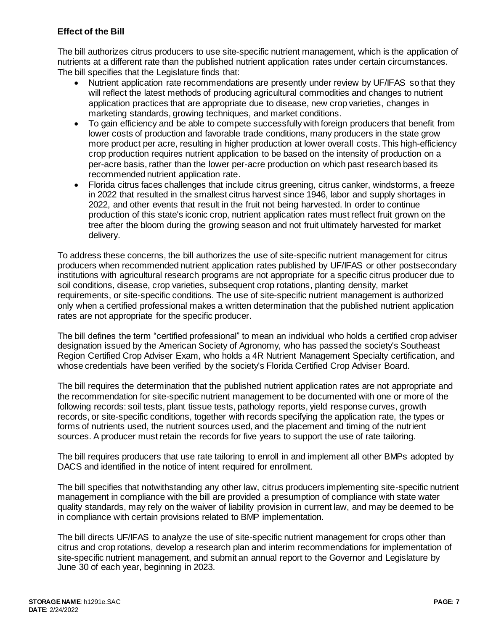## **Effect of the Bill**

The bill authorizes citrus producers to use site-specific nutrient management, which is the application of nutrients at a different rate than the published nutrient application rates under certain circumstances. The bill specifies that the Legislature finds that:

- Nutrient application rate recommendations are presently under review by UF/IFAS so that they will reflect the latest methods of producing agricultural commodities and changes to nutrient application practices that are appropriate due to disease, new crop varieties, changes in marketing standards, growing techniques, and market conditions.
- To gain efficiency and be able to compete successfully with foreign producers that benefit from lower costs of production and favorable trade conditions, many producers in the state grow more product per acre, resulting in higher production at lower overall costs. This high-efficiency crop production requires nutrient application to be based on the intensity of production on a per-acre basis, rather than the lower per-acre production on which past research based its recommended nutrient application rate.
- Florida citrus faces challenges that include citrus greening, citrus canker, windstorms, a freeze in 2022 that resulted in the smallest citrus harvest since 1946, labor and supply shortages in 2022, and other events that result in the fruit not being harvested. In order to continue production of this state's iconic crop, nutrient application rates must reflect fruit grown on the tree after the bloom during the growing season and not fruit ultimately harvested for market delivery.

To address these concerns, the bill authorizes the use of site-specific nutrient management for citrus producers when recommended nutrient application rates published by UF/IFAS or other postsecondary institutions with agricultural research programs are not appropriate for a specific citrus producer due to soil conditions, disease, crop varieties, subsequent crop rotations, planting density, market requirements, or site-specific conditions. The use of site-specific nutrient management is authorized only when a certified professional makes a written determination that the published nutrient application rates are not appropriate for the specific producer.

The bill defines the term "certified professional" to mean an individual who holds a certified crop adviser designation issued by the American Society of Agronomy, who has passed the society's Southeast Region Certified Crop Adviser Exam, who holds a 4R Nutrient Management Specialty certification, and whose credentials have been verified by the society's Florida Certified Crop Adviser Board.

The bill requires the determination that the published nutrient application rates are not appropriate and the recommendation for site-specific nutrient management to be documented with one or more of the following records: soil tests, plant tissue tests, pathology reports, yield response curves, growth records, or site-specific conditions, together with records specifying the application rate, the types or forms of nutrients used, the nutrient sources used, and the placement and timing of the nutrient sources. A producer must retain the records for five years to support the use of rate tailoring.

The bill requires producers that use rate tailoring to enroll in and implement all other BMPs adopted by DACS and identified in the notice of intent required for enrollment.

The bill specifies that notwithstanding any other law, citrus producers implementing site-specific nutrient management in compliance with the bill are provided a presumption of compliance with state water quality standards, may rely on the waiver of liability provision in current law, and may be deemed to be in compliance with certain provisions related to BMP implementation.

The bill directs UF/IFAS to analyze the use of site-specific nutrient management for crops other than citrus and crop rotations, develop a research plan and interim recommendations for implementation of site-specific nutrient management, and submit an annual report to the Governor and Legislature by June 30 of each year, beginning in 2023.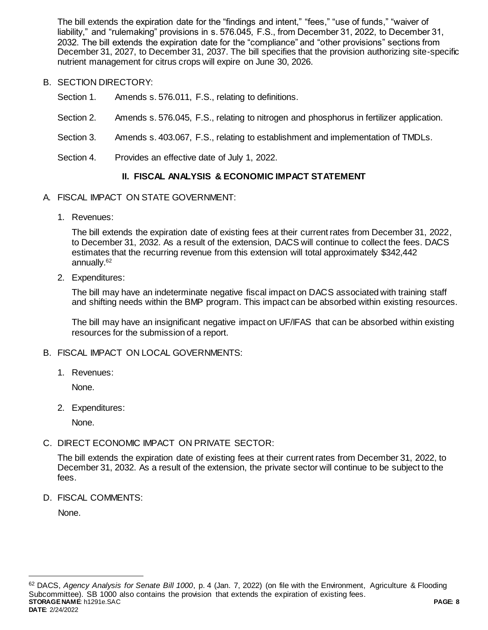The bill extends the expiration date for the "findings and intent," "fees," "use of funds," "waiver of liability," and "rulemaking" provisions in s. 576.045, F.S., from December 31, 2022, to December 31, 2032. The bill extends the expiration date for the "compliance" and "other provisions" sections from December 31, 2027, to December 31, 2037. The bill specifies that the provision authorizing site-specific nutrient management for citrus crops will expire on June 30, 2026.

- B. SECTION DIRECTORY:
	- Section 1. Amends s. 576.011, F.S., relating to definitions.
	- Section 2. Amends s. 576.045, F.S., relating to nitrogen and phosphorus in fertilizer application.
	- Section 3. Amends s. 403.067, F.S., relating to establishment and implementation of TMDLs.
	- Section 4. Provides an effective date of July 1, 2022.

# **II. FISCAL ANALYSIS & ECONOMIC IMPACT STATEMENT**

- A. FISCAL IMPACT ON STATE GOVERNMENT:
	- 1. Revenues:

The bill extends the expiration date of existing fees at their current rates from December 31, 2022, to December 31, 2032. As a result of the extension, DACS will continue to collect the fees. DACS estimates that the recurring revenue from this extension will total approximately \$342,442 annually.<sup>62</sup>

2. Expenditures:

The bill may have an indeterminate negative fiscal impact on DACS associated with training staff and shifting needs within the BMP program. This impact can be absorbed within existing resources.

The bill may have an insignificant negative impact on UF/IFAS that can be absorbed within existing resources for the submission of a report.

- B. FISCAL IMPACT ON LOCAL GOVERNMENTS:
	- 1. Revenues:

None.

2. Expenditures:

None.

C. DIRECT ECONOMIC IMPACT ON PRIVATE SECTOR:

The bill extends the expiration date of existing fees at their current rates from December 31, 2022, to December 31, 2032. As a result of the extension, the private sector will continue to be subject to the fees.

D. FISCAL COMMENTS:

None.

**STORAGE NAME**: h1291e.SAC **PAGE: 8 DATE**: 2/24/2022 <sup>62</sup> DACS, *Agency Analysis for Senate Bill 1000*, p. 4 (Jan. 7, 2022) (on file with the Environment, Agriculture & Flooding Subcommittee). SB 1000 also contains the provision that extends the expiration of existing fees.